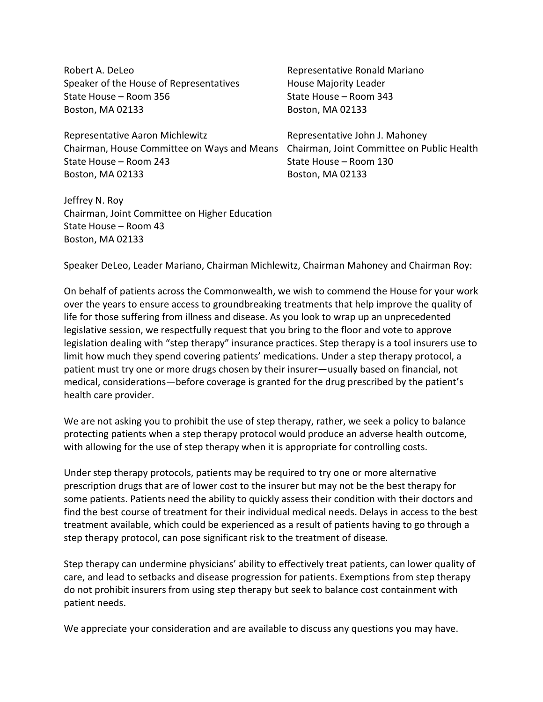| Robert A. DeLeo                             | Representative Ronald Mariano              |
|---------------------------------------------|--------------------------------------------|
| Speaker of the House of Representatives     | <b>House Majority Leader</b>               |
| State House - Room 356                      | State House - Room 343                     |
| Boston, MA 02133                            | Boston, MA 02133                           |
| Representative Aaron Michlewitz             | Representative John J. Mahoney             |
| Chairman, House Committee on Ways and Means | Chairman, Joint Committee on Public Health |
| State House - Room 243                      | State House – Room 130                     |
| Boston, MA 02133                            | Boston, MA 02133                           |
| Jeffrey N. Roy                              |                                            |

Chairman, Joint Committee on Higher Education State House – Room 43 Boston, MA 02133

Speaker DeLeo, Leader Mariano, Chairman Michlewitz, Chairman Mahoney and Chairman Roy:

On behalf of patients across the Commonwealth, we wish to commend the House for your work over the years to ensure access to groundbreaking treatments that help improve the quality of life for those suffering from illness and disease. As you look to wrap up an unprecedented legislative session, we respectfully request that you bring to the floor and vote to approve legislation dealing with "step therapy" insurance practices. Step therapy is a tool insurers use to limit how much they spend covering patients' medications. Under a step therapy protocol, a patient must try one or more drugs chosen by their insurer—usually based on financial, not medical, considerations—before coverage is granted for the drug prescribed by the patient's health care provider.

We are not asking you to prohibit the use of step therapy, rather, we seek a policy to balance protecting patients when a step therapy protocol would produce an adverse health outcome, with allowing for the use of step therapy when it is appropriate for controlling costs.

Under step therapy protocols, patients may be required to try one or more alternative prescription drugs that are of lower cost to the insurer but may not be the best therapy for some patients. Patients need the ability to quickly assess their condition with their doctors and find the best course of treatment for their individual medical needs. Delays in access to the best treatment available, which could be experienced as a result of patients having to go through a step therapy protocol, can pose significant risk to the treatment of disease.

Step therapy can undermine physicians' ability to effectively treat patients, can lower quality of care, and lead to setbacks and disease progression for patients. Exemptions from step therapy do not prohibit insurers from using step therapy but seek to balance cost containment with patient needs.

We appreciate your consideration and are available to discuss any questions you may have.